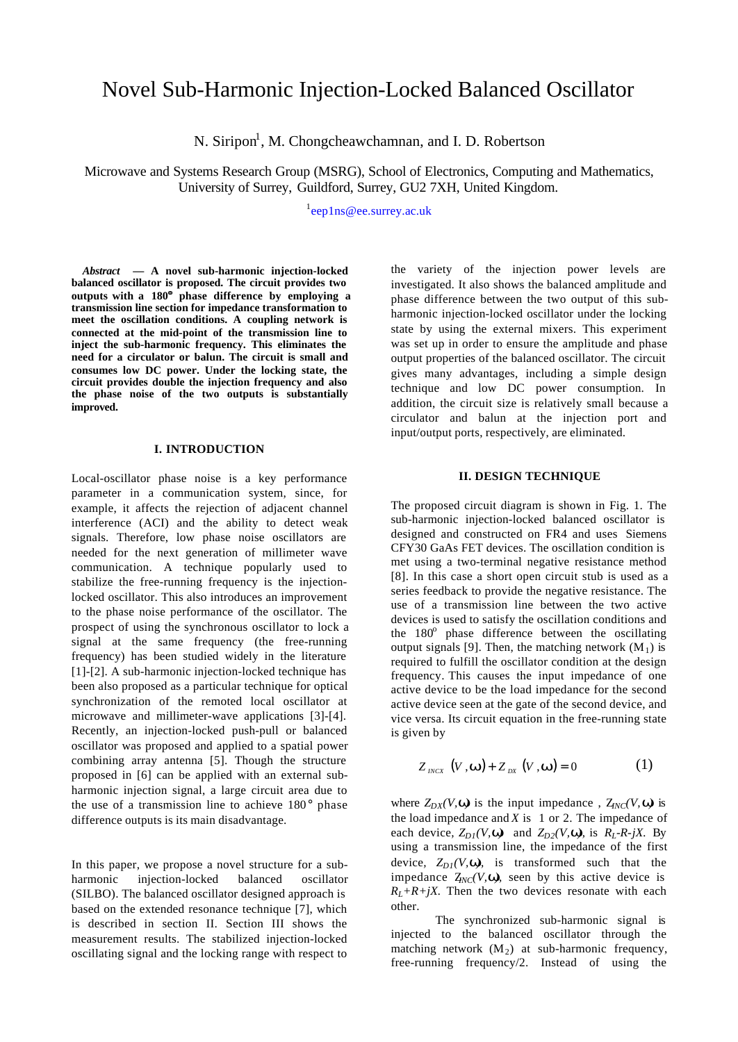# Novel Sub-Harmonic Injection-Locked Balanced Oscillator

N. Siripon<sup>1</sup>, M. Chongcheawchamnan, and I. D. Robertson

Microwave and Systems Research Group (MSRG), School of Electronics, Computing and Mathematics, University of Surrey, Guildford, Surrey, GU2 7XH, United Kingdom.

<sup>1</sup>[eep1ns@ee.surrey.ac.uk](mailto: eep1ns@ee.surrey.ac.uk)

*Abstract* **— A novel sub-harmonic injection-locked balanced oscillator is proposed. The circuit provides two outputs with a 180°° phase difference by employing a transmission line section for impedance transformation to meet the oscillation conditions. A coupling network is connected at the mid-point of the transmission line to inject the sub-harmonic frequency. This eliminates the need for a circulator or balun. The circuit is small and consumes low DC power. Under the locking state, the circuit provides double the injection frequency and also the phase noise of the two outputs is substantially improved.**

#### **I. INTRODUCTION**

Local-oscillator phase noise is a key performance parameter in a communication system, since, for example, it affects the rejection of adjacent channel interference (ACI) and the ability to detect weak signals. Therefore, low phase noise oscillators are needed for the next generation of millimeter wave communication. A technique popularly used to stabilize the free-running frequency is the injectionlocked oscillator. This also introduces an improvement to the phase noise performance of the oscillator. The prospect of using the synchronous oscillator to lock a signal at the same frequency (the free-running frequency) has been studied widely in the literature [1]-[2]. A sub-harmonic injection-locked technique has been also proposed as a particular technique for optical synchronization of the remoted local oscillator at microwave and millimeter-wave applications [3]-[4]. Recently, an injection-locked push-pull or balanced oscillator was proposed and applied to a spatial power combining array antenna [5]. Though the structure proposed in [6] can be applied with an external subharmonic injection signal, a large circuit area due to the use of a transmission line to achieve 180° phase difference outputs is its main disadvantage.

In this paper, we propose a novel structure for a subharmonic injection-locked balanced oscillator (SILBO). The balanced oscillator designed approach is based on the extended resonance technique [7], which is described in section II. Section III shows the measurement results. The stabilized injection-locked oscillating signal and the locking range with respect to

the variety of the injection power levels are investigated. It also shows the balanced amplitude and phase difference between the two output of this subharmonic injection-locked oscillator under the locking state by using the external mixers. This experiment was set up in order to ensure the amplitude and phase output properties of the balanced oscillator. The circuit gives many advantages, including a simple design technique and low DC power consumption. In addition, the circuit size is relatively small because a circulator and balun at the injection port and input/output ports, respectively, are eliminated.

# **II. DESIGN TECHNIQUE**

The proposed circuit diagram is shown in Fig. 1. The sub-harmonic injection-locked balanced oscillator is designed and constructed on FR4 and uses Siemens CFY30 GaAs FET devices. The oscillation condition is met using a two-terminal negative resistance method [8]. In this case a short open circuit stub is used as a series feedback to provide the negative resistance. The use of a transmission line between the two active devices is used to satisfy the oscillation conditions and the 180<sup>°</sup> phase difference between the oscillating output signals [9]. Then, the matching network  $(M_1)$  is required to fulfill the oscillator condition at the design frequency. This causes the input impedance of one active device to be the load impedance for the second active device seen at the gate of the second device, and vice versa. Its circuit equation in the free-running state is given by

$$
Z_{\text{INCX}}\left(V,\boldsymbol{w}\right) + Z_{\text{DX}}\left(V,\boldsymbol{w}\right) = 0\tag{1}
$$

where  $Z_{DX}(V, \mathbf{w})$  is the input impedance,  $Z_{INC}(V, \mathbf{w})$  is the load impedance and  $X$  is 1 or 2. The impedance of each device,  $Z_{D*i*}(V, \mathbf{w})$  and  $Z_{D*i*}(V, \mathbf{w})$ , is  $R_{L}-R-iX$ . By using a transmission line, the impedance of the first device,  $Z_{DI}(V, \mathbf{w})$ , is transformed such that the impedance  $Z_{NC}(V, \mathbf{w})$ , seen by this active device is  $R_L + R + jX$ . Then the two devices resonate with each other.

The synchronized sub-harmonic signal is injected to the balanced oscillator through the matching network  $(M_2)$  at sub-harmonic frequency, free-running frequency/2. Instead of using the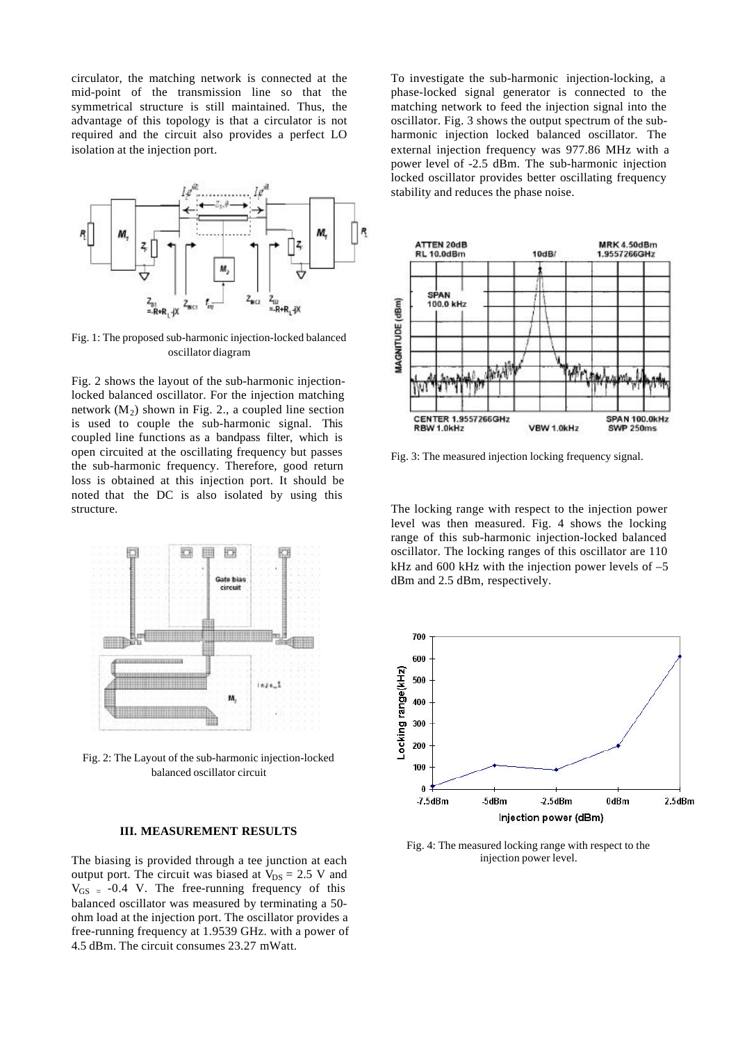circulator, the matching network is connected at the mid-point of the transmission line so that the symmetrical structure is still maintained. Thus, the advantage of this topology is that a circulator is not required and the circuit also provides a perfect LO isolation at the injection port.



Fig. 1: The proposed sub-harmonic injection-locked balanced oscillator diagram

Fig. 2 shows the layout of the sub-harmonic injectionlocked balanced oscillator. For the injection matching network  $(M_2)$  shown in Fig. 2., a coupled line section is used to couple the sub-harmonic signal. This coupled line functions as a bandpass filter, which is open circuited at the oscillating frequency but passes the sub-harmonic frequency. Therefore, good return loss is obtained at this injection port. It should be noted that the DC is also isolated by using this structure.



Fig. 2: The Layout of the sub-harmonic injection-locked balanced oscillator circuit

## **III. MEASUREMENT RESULTS**

The biasing is provided through a tee junction at each output port. The circuit was biased at  $V_{DS} = 2.5$  V and  $V_{GS}$  = -0.4 V. The free-running frequency of this balanced oscillator was measured by terminating a 50 ohm load at the injection port. The oscillator provides a free-running frequency at 1.9539 GHz. with a power of 4.5 dBm. The circuit consumes 23.27 mWatt.

To investigate the sub-harmonic injection-locking, a phase-locked signal generator is connected to the matching network to feed the injection signal into the oscillator. Fig. 3 shows the output spectrum of the subharmonic injection locked balanced oscillator. The external injection frequency was 977.86 MHz with a power level of -2.5 dBm. The sub-harmonic injection locked oscillator provides better oscillating frequency stability and reduces the phase noise.



Fig. 3: The measured injection locking frequency signal.

The locking range with respect to the injection power level was then measured. Fig. 4 shows the locking range of this sub-harmonic injection-locked balanced oscillator. The locking ranges of this oscillator are 110 kHz and 600 kHz with the injection power levels of –5 dBm and 2.5 dBm, respectively.



Fig. 4: The measured locking range with respect to the injection power level.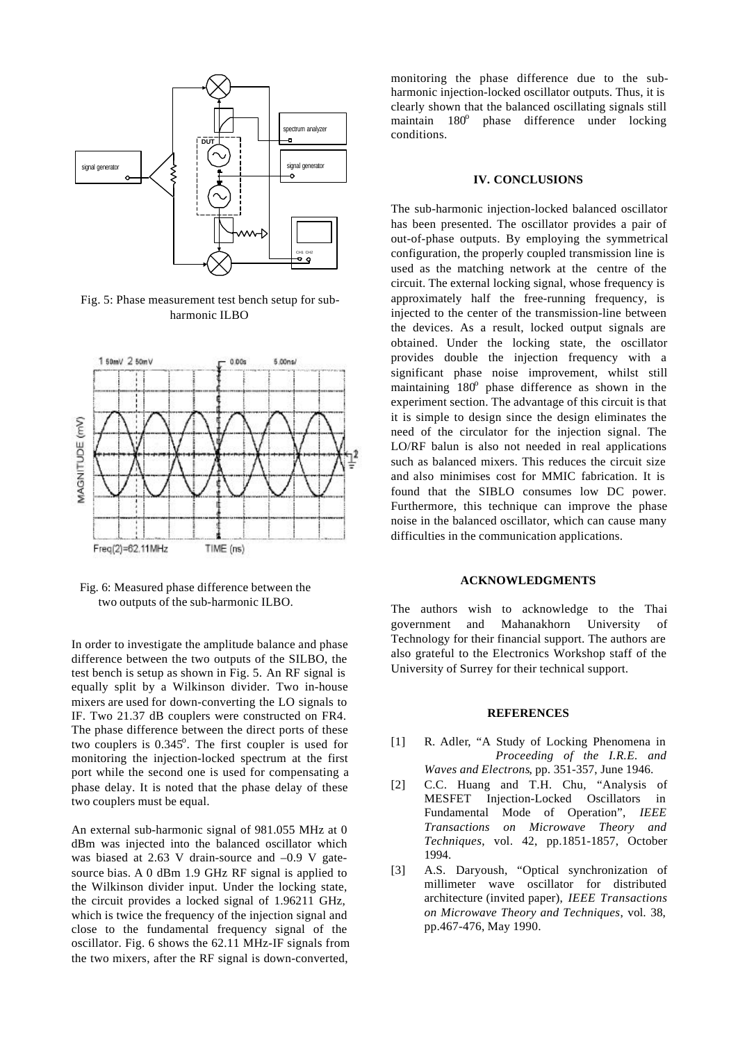

Fig. 5: Phase measurement test bench setup for subharmonic ILBO



Fig. 6: Measured phase difference between the two outputs of the sub-harmonic ILBO.

In order to investigate the amplitude balance and phase difference between the two outputs of the SILBO, the test bench is setup as shown in Fig. 5. An RF signal is equally split by a Wilkinson divider. Two in-house mixers are used for down-converting the LO signals to IF. Two 21.37 dB couplers were constructed on FR4. The phase difference between the direct ports of these two couplers is 0.345°. The first coupler is used for monitoring the injection-locked spectrum at the first port while the second one is used for compensating a phase delay. It is noted that the phase delay of these two couplers must be equal.

An external sub-harmonic signal of 981.055 MHz at 0 dBm was injected into the balanced oscillator which was biased at 2.63 V drain-source and  $-0.9$  V gatesource bias. A 0 dBm 1.9 GHz RF signal is applied to the Wilkinson divider input. Under the locking state, the circuit provides a locked signal of 1.96211 GHz, which is twice the frequency of the injection signal and close to the fundamental frequency signal of the oscillator. Fig. 6 shows the 62.11 MHz-IF signals from the two mixers, after the RF signal is down-converted,

monitoring the phase difference due to the subharmonic injection-locked oscillator outputs. Thus, it is clearly shown that the balanced oscillating signals still maintain  $180^\circ$  phase difference under locking conditions.

#### **IV. CONCLUSIONS**

The sub-harmonic injection-locked balanced oscillator has been presented. The oscillator provides a pair of out-of-phase outputs. By employing the symmetrical configuration, the properly coupled transmission line is used as the matching network at the centre of the circuit. The external locking signal, whose frequency is approximately half the free-running frequency, is injected to the center of the transmission-line between the devices. As a result, locked output signals are obtained. Under the locking state, the oscillator provides double the injection frequency with a significant phase noise improvement, whilst still maintaining 180° phase difference as shown in the experiment section. The advantage of this circuit is that it is simple to design since the design eliminates the need of the circulator for the injection signal. The LO/RF balun is also not needed in real applications such as balanced mixers. This reduces the circuit size and also minimises cost for MMIC fabrication. It is found that the SIBLO consumes low DC power. Furthermore, this technique can improve the phase noise in the balanced oscillator, which can cause many difficulties in the communication applications.

# **ACKNOWLEDGMENTS**

The authors wish to acknowledge to the Thai government and Mahanakhorn University of Technology for their financial support. The authors are also grateful to the Electronics Workshop staff of the University of Surrey for their technical support.

#### **REFERENCES**

- [1] R. Adler, "A Study of Locking Phenomena in *Proceeding of the I.R.E. and Waves and Electrons*, pp. 351-357, June 1946.
- [2] C.C. Huang and T.H. Chu, "Analysis of MESFET Injection-Locked Oscillators in Fundamental Mode of Operation", *IEEE Transactions on Microwave Theory and Techniques*, vol. 42, pp.1851-1857, October 1994.
- [3] A.S. Daryoush, "Optical synchronization of millimeter wave oscillator for distributed architecture (invited paper), *IEEE Transactions on Microwave Theory and Techniques*, vol. 38, pp.467-476, May 1990.